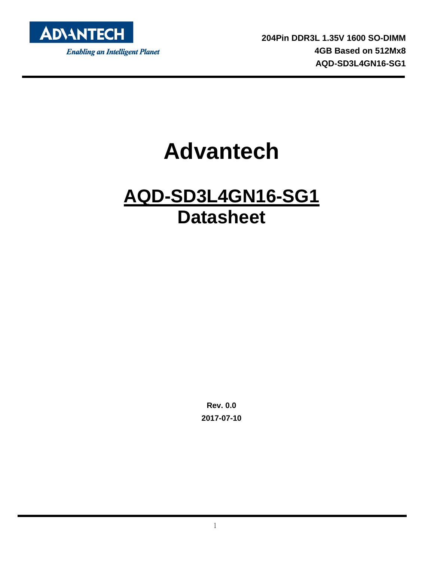

**204Pin DDR3L 1.35V 1600 SO-DIMM 4GB Based on 512Mx8 AQD-SD3L4GN16-SG1**

# **Advantech**

# **AQD-SD3L4GN16-SG1 Datasheet**

**Rev. 0.0 2017-07-10**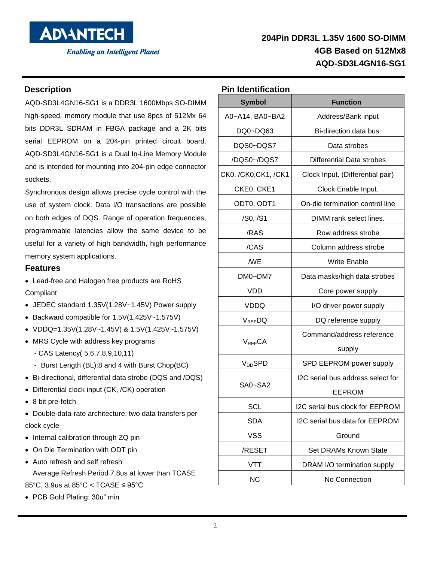

#### **Description**

AQD-SD3L4GN16-SG1 is a DDR3L 1600Mbps SO-DIMM high-speed, memory module that use 8pcs of 512Mx 64 bits DDR3L SDRAM in FBGA package and a 2K bits serial EEPROM on a 204-pin printed circuit board. AQD-SD3L4GN16-SG1 is a Dual In-Line Memory Module and is intended for mounting into 204-pin edge connector sockets.

Synchronous design allows precise cycle control with the use of system clock. Data I/O transactions are possible on both edges of DQS. Range of operation frequencies, programmable latencies allow the same device to be useful for a variety of high bandwidth, high performance memory system applications.

#### **Features**

 Lead-free and Halogen free products are RoHS Compliant

- JEDEC standard 1.35V(1.28V~1.45V) Power supply
- Backward compatible for 1.5V(1.425V~1.575V)
- VDDQ=1.35V(1.28V~1.45V) & 1.5V(1.425V~1.575V)
- MRS Cycle with address key programs
	- CAS Latency( 5,6,7,8,9,10,11)
	- Burst Length (BL):8 and 4 with Burst Chop(BC)
- Bi-directional, differential data strobe (DQS and /DQS)
- Differential clock input (CK, /CK) operation
- 8 bit pre-fetch

 Double-data-rate architecture; two data transfers per clock cycle

- Internal calibration through ZQ pin
- On Die Termination with ODT pin
- Auto refresh and self refresh Average Refresh Period 7.8us at lower than TCASE 85°C, 3.9us at 85°C < TCASE ≤ 95°C
- PCB Gold Plating: 30u" min

#### **Pin Identification**

| Symbol               | <b>Function</b>                   |
|----------------------|-----------------------------------|
| A0~A14, BA0~BA2      | Address/Bank input                |
| DQ0~DQ63             | Bi-direction data bus.            |
| DQS0~DQS7            | Data strobes                      |
| /DQS0~/DQS7          | Differential Data strobes         |
| CK0, /CK0, CK1, /CK1 | Clock Input. (Differential pair)  |
| CKE0, CKE1           | Clock Enable Input.               |
| ODT0, ODT1           | On-die termination control line   |
| /S0, /S1             | DIMM rank select lines.           |
| /RAS                 | Row address strobe                |
| /CAS                 | Column address strobe             |
| /WE                  | <b>Write Enable</b>               |
| DM0~DM7              | Data masks/high data strobes      |
| VDD                  | Core power supply                 |
| <b>VDDQ</b>          | I/O driver power supply           |
| V <sub>REF</sub> DQ  | DQ reference supply               |
|                      | Command/address reference         |
| $V_{REF}CA$          | supply                            |
| $\rm V_{DD}SPD$      | SPD EEPROM power supply           |
|                      | I2C serial bus address select for |
| SA0~SA2              | <b>EEPROM</b>                     |
| SCL                  | I2C serial bus clock for EEPROM   |
| <b>SDA</b>           | I2C serial bus data for EEPROM    |
| <b>VSS</b>           | Ground                            |
| /RESET               | Set DRAMs Known State             |
| VTT                  | DRAM I/O termination supply       |
| <b>NC</b>            | No Connection                     |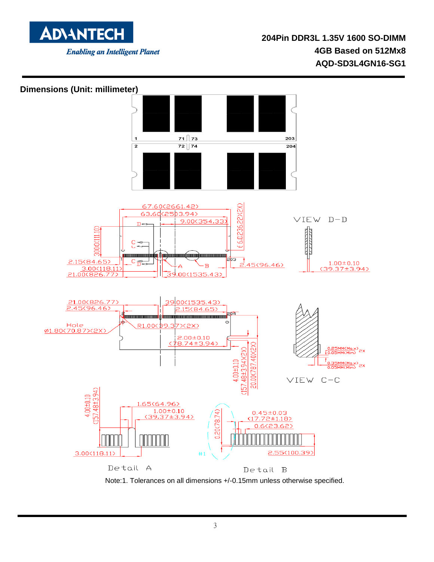

#### **Dimensions (Unit: millimeter)**



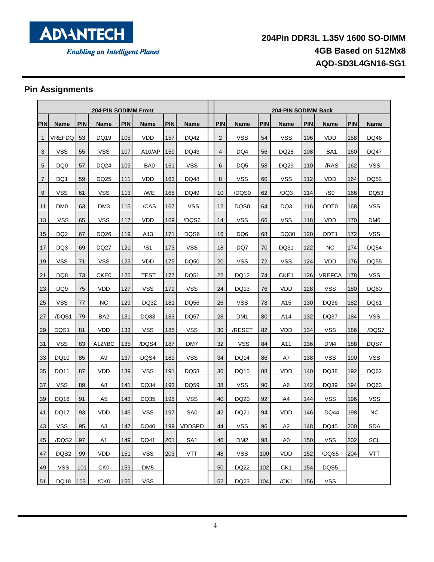

## **Pin Assignments**

| <b>204-PIN SODIMM Front</b> |                 |            |                 | <b>204-PIN SODIMM Back</b> |                 |            |                 |                |                 |            |                  |            |                  |            |                 |
|-----------------------------|-----------------|------------|-----------------|----------------------------|-----------------|------------|-----------------|----------------|-----------------|------------|------------------|------------|------------------|------------|-----------------|
| PIN                         | <b>Name</b>     | <b>PIN</b> | <b>Name</b>     | <b>PIN</b>                 | <b>Name</b>     | <b>PIN</b> | <b>Name</b>     | PIN            | <b>Name</b>     | <b>PIN</b> | <b>Name</b>      | <b>PIN</b> | <b>Name</b>      | <b>PIN</b> | <b>Name</b>     |
| $\mathbf{1}$                | VREFDQ          | 53         | DQ19            | 105                        | VDD             | 157        | DQ42            | $\overline{2}$ | <b>VSS</b>      | 54         | <b>VSS</b>       | 106        | VDD              | 158        | DQ46            |
| 3                           | <b>VSS</b>      | 55         | VSS             | 107                        | A10/AP          | 159        | DQ43            | $\overline{4}$ | DQ4             | 56         | DQ28             | 108        | BA <sub>1</sub>  | 160        | DQ47            |
| 5                           | DQ <sub>0</sub> | 57         | DQ24            | 109                        | BA0             | 161        | <b>VSS</b>      | 6              | DQ5             | 58         | DQ29             | 110        | /RAS             | 162        | <b>VSS</b>      |
| $\overline{7}$              | DQ1             | 59         | DQ25            | 111                        | <b>VDD</b>      | 163        | DQ48            | 8              | VSS             | 60         | VSS              | 112        | VDD              | 164        | <b>DQ52</b>     |
| 9                           | <b>VSS</b>      | 61         | VSS             | 113                        | /WE             | 165        | DQ49            | 10             | /DQS0           | 62         | /DQ3             | 114        | /S0              | 166        | DQ53            |
| 11                          | DM <sub>0</sub> | 63         | DM3             | 115                        | /CAS            | 167        | <b>VSS</b>      | 12             | DQS0            | 64         | DQ3              | 116        | ODT <sub>0</sub> | 168        | <b>VSS</b>      |
| 13                          | <b>VSS</b>      | 65         | <b>VSS</b>      | 117                        | <b>VDD</b>      | 169        | /DQS6           | 14             | <b>VSS</b>      | 66         | <b>VSS</b>       | 118        | <b>VDD</b>       | 170        | DM <sub>6</sub> |
| 15                          | DQ <sub>2</sub> | 67         | DQ26            | 119                        | A13             | 171        | DQS6            | 16             | DQ6             | 68         | DQ30             | 120        | ODT <sub>1</sub> | 172        | <b>VSS</b>      |
| 17                          | DQ3             | 69         | DQ27            | 121                        | /S1             | 173        | <b>VSS</b>      | 18             | DQ7             | 70         | DQ31             | 122        | NC.              | 174        | DQ54            |
| 19                          | <b>VSS</b>      | 71         | <b>VSS</b>      | 123                        | <b>VDD</b>      | 175        | DQ50            | 20             | <b>VSS</b>      | 72         | <b>VSS</b>       | 124        | VDD              | 176        | DQ55            |
| 21                          | DQ8             | 73         | CKE0            | 125                        | TEST            | 177        | DQ51            | 22             | <b>DQ12</b>     | 74         | CKE <sub>1</sub> | 126        | <b>VREFCA</b>    | 178        | <b>VSS</b>      |
| 23                          | DQ <sub>9</sub> | 75         | <b>VDD</b>      | 127                        | VSS             | 179        | <b>VSS</b>      | 24             | DQ13            | 76         | <b>VDD</b>       | 128        | <b>VSS</b>       | 180        | DQ60            |
| 25                          | <b>VSS</b>      | 77         | NС              | 129                        | DQ32            | 181        | DQ56            | 26             | VSS             | 78         | A15              | 130        | DQ36             | 182        | DQ61            |
| 27                          | /DQS1           | 79         | BA <sub>2</sub> | 131                        | DQ33            | 183        | <b>DQ57</b>     | 28             | DM1             | 80         | A14              | 132        | DQ37             | 184        | <b>VSS</b>      |
| 29                          | DQS1            | 81         | <b>VDD</b>      | 133                        | VSS             | 185        | <b>VSS</b>      | 30             | /RESET          | 82         | VDD              | 134        | VSS              | 186        | /DQS7           |
| 31                          | <b>VSS</b>      | 83         | A12//BC         | 135                        | /DQS4           | 187        | DM7             | 32             | <b>VSS</b>      | 84         | A11              | 136        | DM4              | 188        | DQS7            |
| 33                          | DQ10            | 85         | A9              | 137                        | DQS4            | 189        | <b>VSS</b>      | 34             | DQ14            | 86         | A7               | 138        | <b>VSS</b>       | 190        | <b>VSS</b>      |
| 35                          | DQ11            | 87         | <b>VDD</b>      | 139                        | <b>VSS</b>      | 191        | DQ58            | 36             | <b>DQ15</b>     | 88         | <b>VDD</b>       | 140        | DQ38             | 192        | DQ62            |
| 37                          | <b>VSS</b>      | 89         | A8              | 141                        | DQ34            | 193        | DQ59            | 38             | <b>VSS</b>      | 90         | A6               | 142        | DQ39             | 194        | DQ63            |
| 39                          | DQ16            | 91         | A <sub>5</sub>  | 143                        | DQ35            | 195        | <b>VSS</b>      | 40             | DQ20            | 92         | A4               | 144        | <b>VSS</b>       | 196        | <b>VSS</b>      |
| 41                          | <b>DQ17</b>     | 93         | <b>VDD</b>      | 145                        | <b>VSS</b>      | 197        | SA <sub>0</sub> | 42             | DQ21            | 94         | VDD              | 146        | <b>DQ44</b>      | 198        | <b>NC</b>       |
| 43                          | <b>VSS</b>      | 95         | A <sub>3</sub>  | 147                        | DQ40            | 199        | <b>VDDSPD</b>   | 44             | <b>VSS</b>      | 96         | A <sub>2</sub>   | 148        | DQ45             | 200        | <b>SDA</b>      |
| 45                          | /DQS2           | 97         | A1              | 149                        | DQ41            | 201        | SA <sub>1</sub> | 46             | DM <sub>2</sub> | 98         | A <sub>0</sub>   | 150        | <b>VSS</b>       | 202        | SCL             |
| 47                          | DQS2            | 99         | <b>VDD</b>      | 151                        | <b>VSS</b>      | 203        | <b>VTT</b>      | 48             | <b>VSS</b>      | 100        | <b>VDD</b>       | 152        | /DQS5            | 204        | <b>VTT</b>      |
| 49                          | <b>VSS</b>      | 101        | CK <sub>0</sub> | 153                        | DM <sub>5</sub> |            |                 | 50             | DQ22            | 102        | CK <sub>1</sub>  | 154        | DQS5             |            |                 |
| 51                          | DQ18            | 103        | /CK0            | 155                        | <b>VSS</b>      |            |                 | 52             | DQ23            | 104        | /CK1             | 156        | <b>VSS</b>       |            |                 |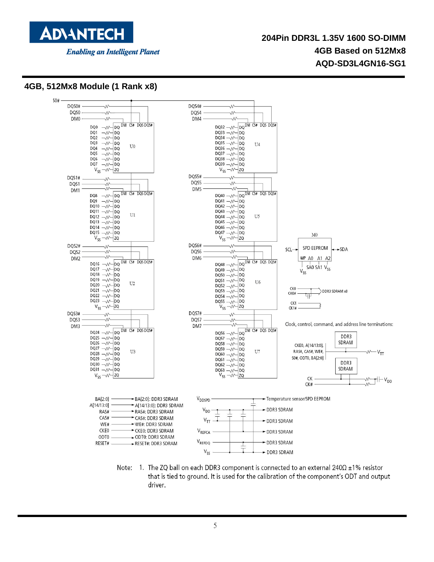

#### **4GB, 512Mx8 Module (1 Rank x8)**



Note: 1. The ZQ ball on each DDR3 component is connected to an external  $240\Omega \pm 1\%$  resistor that is tied to ground. It is used for the calibration of the component's ODT and output driver.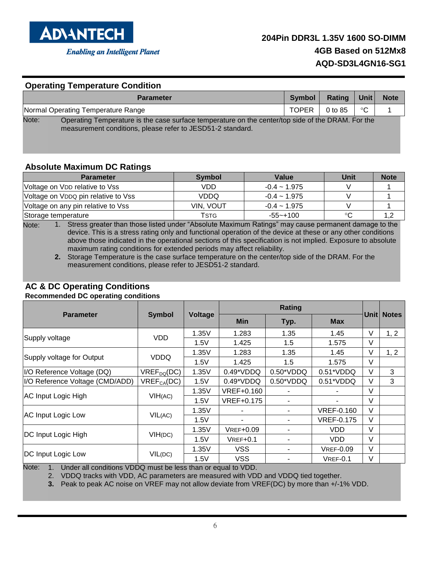

#### **Operating Temperature Condition**

|                                    | <b>Parameter</b>                                                                                                                                                | Symbol l | Rating             | $ $ Unit     | <b>Note</b> |
|------------------------------------|-----------------------------------------------------------------------------------------------------------------------------------------------------------------|----------|--------------------|--------------|-------------|
| Normal Operating Temperature Range |                                                                                                                                                                 |          | TOPER I<br>0 to 85 | $^{\circ}$ C |             |
| Note:                              | Operating Temperature is the case surface temperature on the center/top side of the DRAM. For the<br>measurement conditions, please refer to JESD51-2 standard. |          |                    |              |             |

#### **Absolute Maximum DC Ratings**

| <b>Parameter</b>                    | <b>Symbol</b>    | Value             | Unit    | <b>Note</b> |
|-------------------------------------|------------------|-------------------|---------|-------------|
| Voltage on VDD relative to Vss      | VDD              | $-0.4 \sim 1.975$ |         |             |
| Voltage on VDDQ pin relative to Vss | <b>VDDQ</b>      | $-0.4 - 1.975$    |         |             |
| Voltage on any pin relative to Vss  | <b>VIN. VOUT</b> | $-0.4 - 1.975$    |         |             |
| Storage temperature                 | Tstg             | -55~+100          | $\circ$ |             |

Note: 1. Stress greater than those listed under "Absolute Maximum Ratings" may cause permanent damage to the device. This is a stress rating only and functional operation of the device at these or any other conditions above those indicated in the operational sections of this specification is not implied. Exposure to absolute maximum rating conditions for extended periods may affect reliability.

**2.** Storage Temperature is the case surface temperature on the center/top side of the DRAM. For the measurement conditions, please refer to JESD51-2 standard.

#### **AC & DC Operating Conditions**

**Recommended DC operating conditions**

|                                 |                 |                | <b>Rating</b>    |             |                   |        |              |
|---------------------------------|-----------------|----------------|------------------|-------------|-------------------|--------|--------------|
| <b>Parameter</b>                | <b>Symbol</b>   | <b>Voltage</b> | <b>Min</b>       | Typ.        | <b>Max</b>        | Unitl  | <b>Notes</b> |
|                                 |                 | 1.35V          | 1.283            | 1.35        | 1.45              | V      | 1, 2         |
| Supply voltage                  | <b>VDD</b>      | 1.5V           | 1.425            | 1.5         | 1.575             | V      |              |
|                                 |                 | 1.35V          | 1.283            | 1.35        | 1.45              | V      | 1, 2         |
| Supply voltage for Output       | VDDQ            | 1.5V           | 1.425            | 1.5         | 1.575             | $\vee$ |              |
| I/O Reference Voltage (DQ)      | $VREF_{DQ}(DC)$ | 1.35V          | $0.49^*VDDQ$     | $0.50*VDDQ$ | $0.51*VDDQ$       | V      | 3            |
| I/O Reference Voltage (CMD/ADD) | $VREF_{CA}(DC)$ | 1.5V           | $0.49^*VDDQ$     | $0.50*VDDQ$ | $0.51*VDDQ$       | V      | 3            |
|                                 | VIH(AC)         | 1.35V          | VREF+0.160       |             |                   | $\vee$ |              |
| AC Input Logic High             |                 | 1.5V           | VREF+0.175       |             |                   | $\vee$ |              |
|                                 |                 | 1.35V          |                  |             | <b>VREF-0.160</b> | $\vee$ |              |
| AC Input Logic Low              | VIL(AC)         | 1.5V           |                  | ۰           | <b>VREF-0.175</b> | V      |              |
|                                 |                 | 1.35V          | <b>VREF+0.09</b> |             | <b>VDD</b>        | $\vee$ |              |
| DC Input Logic High             | VIH(DC)         | 1.5V           | $VREF+0.1$       |             | VDD               | $\vee$ |              |
|                                 |                 | 1.35V          | <b>VSS</b>       |             | <b>VREF-0.09</b>  | $\vee$ |              |
| DC Input Logic Low              | VIL(DC)         | 1.5V           | <b>VSS</b>       |             | $VREF-0.1$        | V      |              |

Note: 1. Under all conditions VDDQ must be less than or equal to VDD.

2. VDDQ tracks with VDD, AC parameters are measured with VDD and VDDQ tied together.

**3.** Peak to peak AC noise on VREF may not allow deviate from VREF(DC) by more than +/-1% VDD.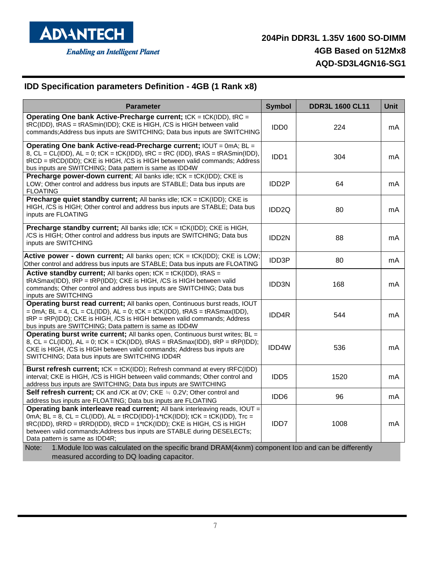

## **IDD Specification parameters Definition - 4GB (1 Rank x8)**

| <b>Parameter</b>                                                                                                                                                                                                                                                                                                                                              | <b>Symbol</b>      | <b>DDR3L 1600 CL11</b> | <b>Unit</b> |
|---------------------------------------------------------------------------------------------------------------------------------------------------------------------------------------------------------------------------------------------------------------------------------------------------------------------------------------------------------------|--------------------|------------------------|-------------|
| Operating One bank Active-Precharge current; tCK = tCK(IDD), tRC =<br>tRC(IDD), tRAS = tRASmin(IDD); CKE is HIGH, /CS is HIGH between valid<br>commands; Address bus inputs are SWITCHING; Data bus inputs are SWITCHING                                                                                                                                      | IDD <sub>0</sub>   | 224                    | mA          |
| Operating One bank Active-read-Precharge current; IOUT = 0mA; BL =<br>8, $CL = CL(IDD)$ , $AL = 0$ ; $tCK = tCK(IDD)$ , $tRC = tRC(IDD)$ , $tRAS = tRASmin(IDD)$ ,<br>tRCD = tRCD(IDD); CKE is HIGH, /CS is HIGH between valid commands; Address<br>bus inputs are SWITCHING; Data pattern is same as IDD4W                                                   | IDD1               | 304                    | mA          |
| <b>Precharge power-down current</b> ; All banks idle; tCK = tCK(IDD); CKE is<br>LOW; Other control and address bus inputs are STABLE; Data bus inputs are<br><b>FLOATING</b>                                                                                                                                                                                  | IDD <sub>2</sub> P | 64                     | mA          |
| <b>Precharge quiet standby current;</b> All banks idle; tCK = tCK(IDD); CKE is<br>HIGH, /CS is HIGH; Other control and address bus inputs are STABLE; Data bus<br>inputs are FLOATING                                                                                                                                                                         | IDD <sub>2Q</sub>  | 80                     | mA          |
| <b>Precharge standby current;</b> All banks idle; tCK = tCK(IDD); CKE is HIGH,<br>/CS is HIGH; Other control and address bus inputs are SWITCHING; Data bus<br>inputs are SWITCHING                                                                                                                                                                           | IDD <sub>2N</sub>  | 88                     | mA          |
| Active power - down current; All banks open; tCK = tCK(IDD); CKE is LOW;<br>Other control and address bus inputs are STABLE; Data bus inputs are FLOATING                                                                                                                                                                                                     | <b>IDD3P</b>       | 80                     | mA          |
| Active standby current; All banks open; tCK = tCK(IDD), tRAS =<br>tRASmax(IDD), tRP = tRP(IDD); CKE is HIGH, /CS is HIGH between valid<br>commands; Other control and address bus inputs are SWITCHING; Data bus<br>inputs are SWITCHING                                                                                                                      | <b>IDD3N</b>       | 168                    | mA          |
| Operating burst read current; All banks open, Continuous burst reads, IOUT<br>= 0mA; BL = 4, CL = CL(IDD), AL = 0; tCK = tCK(IDD), tRAS = tRASmax(IDD),<br>tRP = tRP(IDD); CKE is HIGH, /CS is HIGH between valid commands; Address<br>bus inputs are SWITCHING; Data pattern is same as IDD4W                                                                | IDD4R              | 544                    | mA          |
| Operating burst write current; All banks open, Continuous burst writes; BL =<br>8, $CL = CL(IDD)$ , $AL = 0$ ; $tCK = tCK(IDD)$ , $tRAS = tRASmax(IDD)$ , $tRP = tRP(IDD)$ ;<br>CKE is HIGH, /CS is HIGH between valid commands; Address bus inputs are<br>SWITCHING; Data bus inputs are SWITCHING IDD4R                                                     | IDD4W              | 536                    | mA          |
| <b>Burst refresh current;</b> tCK = tCK(IDD); Refresh command at every tRFC(IDD)<br>interval; CKE is HIGH, /CS is HIGH between valid commands; Other control and<br>address bus inputs are SWITCHING; Data bus inputs are SWITCHING                                                                                                                           | IDD <sub>5</sub>   | 1520                   | mA          |
| <b>Self refresh current;</b> CK and /CK at 0V; CKE $\equiv$ 0.2V; Other control and<br>address bus inputs are FLOATING; Data bus inputs are FLOATING                                                                                                                                                                                                          | IDD <sub>6</sub>   | 96                     | mA          |
| Operating bank interleave read current; All bank interleaving reads, IOUT =<br>0mA; $BL = 8$ , $CL = CL(ID), AL = tRCD(ID)-1*tCK(ID); tCK = tCK(ID), Trc =$<br>$tRC(IDD)$ , $tRRD = tRRD(IDD)$ , $tRCD = 1*tCK(IDD)$ ; $CKE$ is HIGH, CS is HIGH<br>between valid commands; Address bus inputs are STABLE during DESELECTs;<br>Data pattern is same as IDD4R; | IDD7               | 1008                   | mA          |
| 1. Module IDD was calculated on the specific brand DRAM(4xnm) component IDD and can be differently<br>Note:                                                                                                                                                                                                                                                   |                    |                        |             |

measured according to DQ loading capacitor.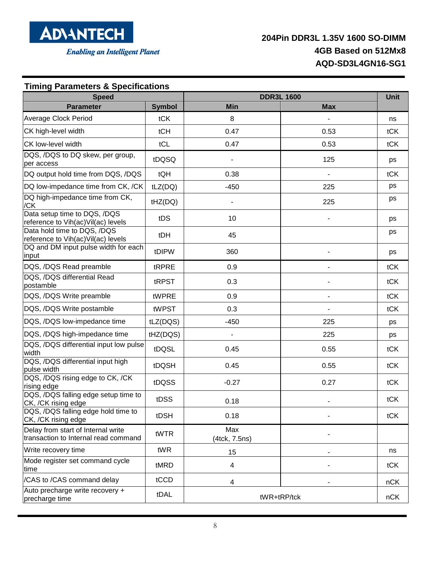

#### **Timing Parameters & Specifications Speed DDR3L 1600 Unit Parameter Symbol Min Max** Average Clock Period **take as a constant of tCK** and tCK and tCK and tCK and tCK and tCK and tCK and tCK and tCK and tCK and tCK and tCK and tCK and tCK and tCK and tCK and tCK and tCK and tCK and tCK and tCK and tCK and t CK high-level width tCH 0.47 0.53 tCK CK low-level width tCL 0.47 0.53 tCK DQS, /DQS to DQ skew, per group, per access tDQSQ - <sup>125</sup> ps DQ output hold time from DQS, /DQS | tQH | 0.38 | tCK DQ low-impedance time from CK, /CK | tLZ(DQ)  $\vert$  450  $\vert$  225  $\vert$  ps DQ high-impedance time from CK, /CK tHZ(DQ) - <sup>225</sup> ps Data setup time to DQS, /DQS Data setup time to DQS, 7DQS<br>
reference to Vih(ac)Vil(ac) levels tDS tDS 10 - ps Data hold time to DQS, /DQS Data hold time to DQS, /DQS<br>
reference to Vih(ac)Vil(ac) levels tDH tDH 45 ps DQ and DM input pulse width for each input tDIPW <sup>360</sup> - ps DQS, /DQS Read preamble  $\left| \begin{array}{ccc} \text{tRPRE} & 0.9 & \text{tC} \end{array} \right|$ DQS, /DQS differential Read  $p$ ostamble tCK  $p$ ostamble tCK DQS, /DQS Write preamble twpRE | 0.9 | tCK DQS, /DQS Write postamble twp ST | 0.3 | tCK DQS, /DQS low-impedance time  $\vert$  tLZ(DQS)  $\vert$  -450  $\vert$  225  $\vert$  ps DQS, /DQS high-impedance time tHZ(DQS) - 225 ps DQS, /DQS differential input low pulse bec, become direct that input fow palse  $\begin{vmatrix} \text{tDQSL} \end{vmatrix}$  0.45  $\begin{vmatrix} 0.55 \end{vmatrix}$  tCK DQS, /DQS differential input high pulse width tDQSH 0.45 0.55 tCK DQS, /DQS rising edge to CK, /CK  $r_{\text{using edge}}$  edge to SK, OK tDQSS  $\vert$  -0.27  $\vert$  0.27 tCK DQS, /DQS falling edge setup time to CK, /CK rising edge tDSS 0.18 tCK DQS, /DQS falling edge hold time to CK, /CK rising edge tDSH 0.18 - tCK Delay from start of Internal write Delay from start of Internal write<br>transaction to Internal read command tWTR (4tck 7.5)  $(4$ tck,  $7.5$ ns) Write recovery time tWR 15 ns Mode register set command cycle  $t$  to the two discrete terms of the top  $t$  the three time  $t$  and the top  $t$  of  $t$   $\sim$  the total three time  $t$ /CAS to /CAS command delay tCCD 4 - nCK Auto precharge write recovery + Adio precharge which recovery + tDAL tDAL twR+tRP/tck twR+tRP/tck the state of the nCK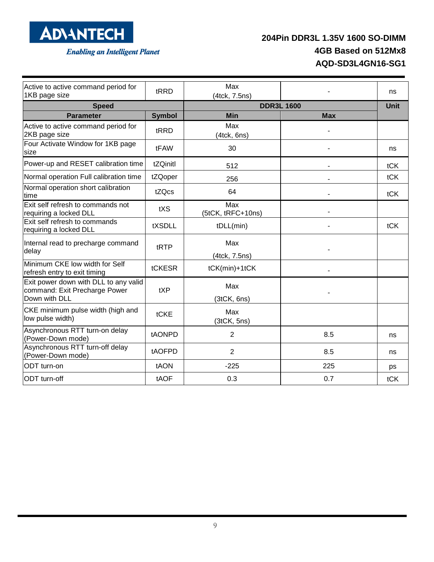

# **204Pin DDR3L 1.35V 1600 SO-DIMM 4GB Based on 512Mx8 AQD-SD3L4GN16-SG1**

| Active to active command period for<br>1KB page size                                    | tRRD          | Max<br>(4tck, 7.5ns)     |                   | ns          |
|-----------------------------------------------------------------------------------------|---------------|--------------------------|-------------------|-------------|
| <b>Speed</b>                                                                            |               |                          | <b>DDR3L 1600</b> | <b>Unit</b> |
| <b>Parameter</b>                                                                        | <b>Symbol</b> | <b>Min</b>               | <b>Max</b>        |             |
| Active to active command period for<br>2KB page size                                    | tRRD          | Max<br>(4tck, 6ns)       |                   |             |
| Four Activate Window for 1KB page<br>size                                               | tFAW          | 30                       |                   | ns          |
| Power-up and RESET calibration time                                                     | tZQinitl      | 512                      |                   | tCK         |
| Normal operation Full calibration time                                                  | tZQoper       | 256                      |                   | tCK         |
| Normal operation short calibration<br>time                                              | tZQcs         | 64                       |                   | tCK         |
| Exit self refresh to commands not<br>requiring a locked DLL                             | tXS           | Max<br>(5tCK, tRFC+10ns) |                   |             |
| Exit self refresh to commands<br>requiring a locked DLL                                 | tXSDLL        | tDLL(min)                |                   | tCK         |
| Internal read to precharge command<br>delay                                             | tRTP          | Max<br>(4tck, 7.5ns)     |                   |             |
| Minimum CKE low width for Self<br>refresh entry to exit timing                          | tCKESR        | tCK(min)+1tCK            |                   |             |
| Exit power down with DLL to any valid<br>command: Exit Precharge Power<br>Down with DLL | tXP           | Max<br>(3tCK, 6ns)       |                   |             |
| CKE minimum pulse width (high and<br>low pulse width)                                   | tCKE          | Max<br>(3tCK, 5ns)       |                   |             |
| Asynchronous RTT turn-on delay<br>(Power-Down mode)                                     | tAONPD        | $\overline{2}$           | 8.5               | ns          |
| Asynchronous RTT turn-off delay<br>(Power-Down mode)                                    | tAOFPD        | 2                        | 8.5               | ns          |
| ODT turn-on                                                                             | tAON          | $-225$                   | 225               | ps          |
| ODT turn-off                                                                            | tAOF          | 0.3                      | 0.7               | tCK         |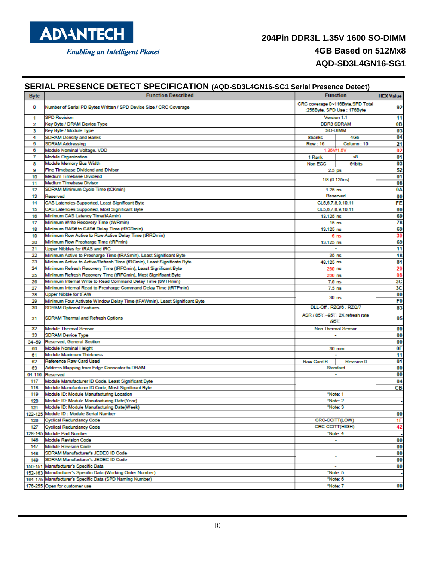

| <b>Byte</b> | <b>Function Described</b>                                                         |                   | <b>Function</b>                   | <b>HEX Value</b> |
|-------------|-----------------------------------------------------------------------------------|-------------------|-----------------------------------|------------------|
|             |                                                                                   |                   | CRC coverage 0~116Byte, SPD Total |                  |
| 0           | Number of Serial PD Bytes Written / SPD Device Size / CRC Coverage                |                   | :256Byte, SPD Use : 176Byte       | 92               |
| 1           | <b>SPD Revision</b>                                                               |                   | Version 1.1                       | 11               |
| 2           | Key Byte / DRAM Device Type                                                       |                   | <b>DDR3 SDRAM</b>                 | 0 <sub>B</sub>   |
| 3           | Key Byte / Module Type                                                            |                   | SO-DIMM                           | 03               |
| 4           | <b>SDRAM Density and Banks</b>                                                    | 8banks            | 4Gb                               | 04               |
| 5           | <b>SDRAM Addressing</b>                                                           | Row: 16           | Column: 10                        | 21               |
| 6           | Module Nominal Voltage, VDD                                                       | 1.35V/1.5V        |                                   | 02               |
| 7           | <b>Module Organization</b>                                                        | 1 Rank            | x8                                | 01               |
| 8           | Module Memory Bus Width                                                           | Non ECC           | 64 bits                           | 03               |
| 9           | <b>Fine Timebase Dividend and Divisor</b>                                         | 2.5 <sub>ps</sub> |                                   | 52               |
| 10          | <b>Medium Timebase Dividend</b>                                                   |                   | 1/8 (0.125ns)                     | 01               |
| 11          | <b>Medium Timebase Divisor</b>                                                    |                   |                                   | 08               |
| 12          | SDRAM Minimum Cycle Time (tCKmin)                                                 | $1.25$ ns         |                                   | 0Α               |
| 13          | Reserved                                                                          |                   | Reserved                          | 00               |
| 14          | CAS Latencies Supported, Least Significant Byte                                   |                   | CL5,6,7,8,9,10,11                 | FE               |
| 15          | CAS Latencies Supported, Most Significant Byte                                    |                   | CL5,6,7,8,9,10,11                 | 00               |
| 16          | Minimum CAS Latency Time(tAAmin)                                                  | 13.125 ns         |                                   | 69               |
| 17          | Minimum Write Recovery Time (tWRmin)<br>Minimum RAS# to CAS# Delay Time (tRCDmin) |                   | 15 <sub>ns</sub>                  | 78               |
| 18          | Minimum Row Active to Row Active Delay Time (tRRDmin)                             | 13.125 ns         |                                   | 69<br>30         |
| 19<br>20    | Minimum Row Precharge Time (tRPmin)                                               | 13.125 ns         | 6 <sub>ns</sub>                   | 69               |
| 21          | Upper Nibbles for tRAS and tRC                                                    |                   | $\sim$                            | 11               |
| 22          | Minimum Active to Precharge Time (tRASmin), Least Significant Byte                |                   | 35 <sub>ns</sub>                  | 18               |
| 23          | Minimum Active to Active/Refresh Time (tRCmin), Least Significatn Byte            | 48.125 ns         |                                   | 81               |
| 24          | Minimum Refresh Recovery Time (tRFCmin), Least Significant Byte                   | 260 ns            |                                   | 20               |
| 25          | Minimum Refresh Recovery Time (tRFCmin), Most Significant Byte                    | 260 ns            |                                   | 08               |
| 26          | Minimum Internal Write to Read Command Delay Time (tWTRmin)                       | $7.5$ ns          |                                   | 3C               |
| 27          | Minimum Internal Read to Precharge Command Delay Time (tRTPmin)                   | 7.5 <sub>ns</sub> |                                   | 3C               |
| 28          | <b>Upper Nibble for tFAW</b>                                                      |                   |                                   | 00               |
| 29          | Minimum Four Activate WIndow Delay Time (tFAWmin), Least Significant Byte         |                   | 30 <sub>ns</sub>                  | F0               |
| 30          | <b>SDRAM Optional Features</b>                                                    |                   | DLL-Off, RZQ/6, RZQ/7             | 83               |
| 31          | <b>SDRAM Thermal and Refresh Options</b>                                          | /95 C             | ASR / 85 C~95 C 2X refresh rate   | 05               |
| 32          | <b>Module Thermal Sensor</b>                                                      |                   | <b>Non Thermal Sensor</b>         | 00               |
| 33          | <b>SDRAM Device Type</b>                                                          |                   |                                   | 00               |
|             | 34~59 Reserved, General Section                                                   |                   |                                   | 00               |
| 60          | Module Nominal Height                                                             |                   | 30 mm                             | 0F               |
| 61          | <b>Module Maximum Thickness</b>                                                   |                   | $\overline{\phantom{a}}$          | 11               |
| 62          | Reference Raw Card Used                                                           | Raw Card B        | <b>Revision 0</b>                 | 01               |
| 63          | Address Mapping from Edge Connector to DRAM                                       |                   | Standard                          | 00               |
|             | 64-116 Reserved                                                                   |                   | $\sim$                            | 00               |
| 117         | Module Manufacturer ID Code, Least Significant Byte                               |                   |                                   | 04               |
| 118         | Module Manufacturer ID Code, Most Significant Byte                                |                   |                                   | cв               |
| 119         | Module ID: Module Manufacturing Location                                          |                   | "Note: 1                          |                  |
| 120         | Module ID: Module Manufacturing Date(Year)                                        |                   | "Note: 2                          |                  |
| 121         | Module ID: Module Manufacturing Date(Week)                                        |                   | "Note: 3                          |                  |
|             | 122-125 Module ID : Module Serial Number                                          |                   |                                   | 00               |
| 126         | Cyclical Redundancy Code                                                          | CRC-CCITT(LOW)    |                                   | 1F               |
| 127         | Cyclical Redundancy Code                                                          | CRC-CCITT(HIGH)   |                                   | 42               |
|             | 128-145 Module Part Number                                                        |                   | "Note: 4                          |                  |
| 146         | <b>Module Revision Code</b>                                                       |                   | $\sim$                            | 00               |
| 147         | <b>Module Revision Code</b>                                                       |                   | $\sim$                            | 00               |
| 148         | SDRAM Manufacturer's JEDEC ID Code<br>SDRAM Manufacturer's JEDEC ID Code          |                   | ۰                                 | 00<br>00         |
| 149         | 150-151 Manufacturer's Specific Data                                              |                   | ٠                                 | 00               |
|             | 152-163 Manufacturer's Specific Data (Working Order Number)                       |                   | "Note: 5                          |                  |
|             | 164-175 Manufacturer's Specific Data (SPD Naming Number)                          |                   | "Note: 6                          |                  |
|             | 176-255 Open for customer use                                                     |                   | "Note: 7                          | 00               |
|             |                                                                                   |                   |                                   |                  |